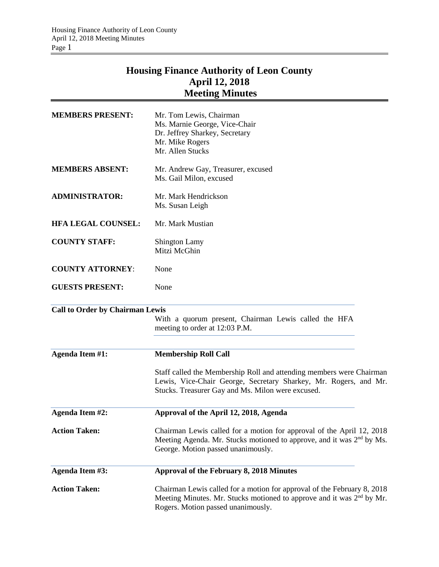## **Housing Finance Authority of Leon County April 12, 2018 Meeting Minutes**

| <b>MEMBERS PRESENT:</b>                | Mr. Tom Lewis, Chairman<br>Ms. Marnie George, Vice-Chair<br>Dr. Jeffrey Sharkey, Secretary<br>Mr. Mike Rogers<br>Mr. Allen Stucks                                                                  |
|----------------------------------------|----------------------------------------------------------------------------------------------------------------------------------------------------------------------------------------------------|
| <b>MEMBERS ABSENT:</b>                 | Mr. Andrew Gay, Treasurer, excused<br>Ms. Gail Milon, excused                                                                                                                                      |
| <b>ADMINISTRATOR:</b>                  | Mr. Mark Hendrickson<br>Ms. Susan Leigh                                                                                                                                                            |
| <b>HFA LEGAL COUNSEL:</b>              | Mr. Mark Mustian                                                                                                                                                                                   |
| <b>COUNTY STAFF:</b>                   | <b>Shington Lamy</b><br>Mitzi McGhin                                                                                                                                                               |
| <b>COUNTY ATTORNEY:</b>                | None                                                                                                                                                                                               |
| <b>GUESTS PRESENT:</b>                 | None                                                                                                                                                                                               |
| <b>Call to Order by Chairman Lewis</b> | With a quorum present, Chairman Lewis called the HFA<br>meeting to order at 12:03 P.M.                                                                                                             |
| Agenda Item #1:                        | <b>Membership Roll Call</b>                                                                                                                                                                        |
|                                        | Staff called the Membership Roll and attending members were Chairman<br>Lewis, Vice-Chair George, Secretary Sharkey, Mr. Rogers, and Mr.<br>Stucks. Treasurer Gay and Ms. Milon were excused.      |
| Agenda Item #2:                        | Approval of the April 12, 2018, Agenda                                                                                                                                                             |
| <b>Action Taken:</b>                   | Chairman Lewis called for a motion for approval of the April 12, 2018<br>Meeting Agenda. Mr. Stucks motioned to approve, and it was 2 <sup>nd</sup> by Ms.<br>George. Motion passed unanimously.   |
| Agenda Item #3:                        | Approval of the February 8, 2018 Minutes                                                                                                                                                           |
| <b>Action Taken:</b>                   | Chairman Lewis called for a motion for approval of the February 8, 2018<br>Meeting Minutes. Mr. Stucks motioned to approve and it was 2 <sup>nd</sup> by Mr.<br>Rogers. Motion passed unanimously. |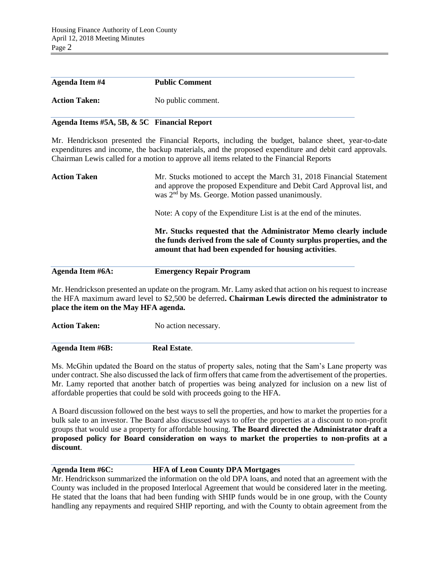| <b>Agenda Item #4</b> | <b>Public Comment</b> |
|-----------------------|-----------------------|
| <b>Action Taken:</b>  | No public comment.    |

## **Agenda Items #5A, 5B, & 5C Financial Report**

Mr. Hendrickson presented the Financial Reports, including the budget, balance sheet, year-to-date expenditures and income, the backup materials, and the proposed expenditure and debit card approvals. Chairman Lewis called for a motion to approve all items related to the Financial Reports

| <b>Action Taken</b> | Mr. Stucks motioned to accept the March 31, 2018 Financial Statement<br>and approve the proposed Expenditure and Debit Card Approval list, and<br>was 2 <sup>nd</sup> by Ms. George. Motion passed unanimously. |
|---------------------|-----------------------------------------------------------------------------------------------------------------------------------------------------------------------------------------------------------------|
|                     | Note: A copy of the Expenditure List is at the end of the minutes.                                                                                                                                              |
|                     | Mr. Stucks requested that the Administrator Memo clearly include<br>the funds derived from the sale of County surplus properties, and the<br>amount that had been expended for housing activities.              |
| Agenda Item #6A:    | <b>Emergency Repair Program</b>                                                                                                                                                                                 |
|                     |                                                                                                                                                                                                                 |

Mr. Hendrickson presented an update on the program. Mr. Lamy asked that action on his request to increase the HFA maximum award level to \$2,500 be deferred**. Chairman Lewis directed the administrator to place the item on the May HFA agenda.**

**Action Taken:** No action necessary.

**Agenda Item #6B: Real Estate**.

Ms. McGhin updated the Board on the status of property sales, noting that the Sam's Lane property was under contract. She also discussed the lack of firm offers that came from the advertisement of the properties. Mr. Lamy reported that another batch of properties was being analyzed for inclusion on a new list of affordable properties that could be sold with proceeds going to the HFA.

A Board discussion followed on the best ways to sell the properties, and how to market the properties for a bulk sale to an investor. The Board also discussed ways to offer the properties at a discount to non-profit groups that would use a property for affordable housing. **The Board directed the Administrator draft a proposed policy for Board consideration on ways to market the properties to non-profits at a discount**.

## **Agenda Item #6C: HFA of Leon County DPA Mortgages**

Mr. Hendrickson summarized the information on the old DPA loans, and noted that an agreement with the County was included in the proposed Interlocal Agreement that would be considered later in the meeting. He stated that the loans that had been funding with SHIP funds would be in one group, with the County handling any repayments and required SHIP reporting, and with the County to obtain agreement from the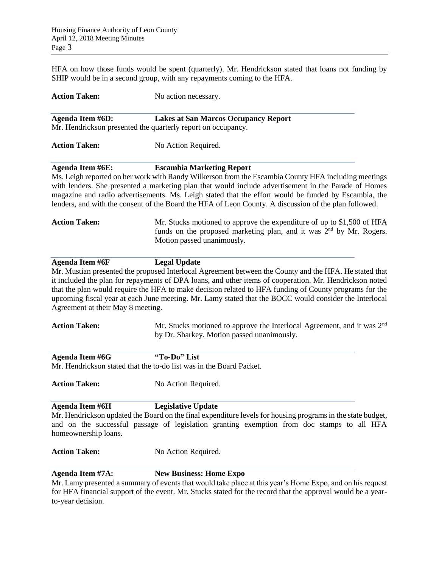HFA on how those funds would be spent (quarterly). Mr. Hendrickson stated that loans not funding by SHIP would be in a second group, with any repayments coming to the HFA.

| <b>Action Taken:</b>                                        | No action necessary.                                                                                                                                                                                                                                                                                                                                                                                                                                             |
|-------------------------------------------------------------|------------------------------------------------------------------------------------------------------------------------------------------------------------------------------------------------------------------------------------------------------------------------------------------------------------------------------------------------------------------------------------------------------------------------------------------------------------------|
| <b>Agenda Item #6D:</b>                                     | <b>Lakes at San Marcos Occupancy Report</b><br>Mr. Hendrickson presented the quarterly report on occupancy.                                                                                                                                                                                                                                                                                                                                                      |
| <b>Action Taken:</b>                                        | No Action Required.                                                                                                                                                                                                                                                                                                                                                                                                                                              |
| <b>Agenda Item #6E:</b>                                     | <b>Escambia Marketing Report</b><br>Ms. Leigh reported on her work with Randy Wilkerson from the Escambia County HFA including meetings<br>with lenders. She presented a marketing plan that would include advertisement in the Parade of Homes<br>magazine and radio advertisements. Ms. Leigh stated that the effort would be funded by Escambia, the<br>lenders, and with the consent of the Board the HFA of Leon County. A discussion of the plan followed. |
| <b>Action Taken:</b>                                        | Mr. Stucks motioned to approve the expenditure of up to \$1,500 of HFA<br>funds on the proposed marketing plan, and it was 2 <sup>nd</sup> by Mr. Rogers.<br>Motion passed unanimously.                                                                                                                                                                                                                                                                          |
| <b>Agenda Item #6F</b><br>Agreement at their May 8 meeting. | <b>Legal Update</b><br>Mr. Mustian presented the proposed Interlocal Agreement between the County and the HFA. He stated that<br>it included the plan for repayments of DPA loans, and other items of cooperation. Mr. Hendrickson noted<br>that the plan would require the HFA to make decision related to HFA funding of County programs for the<br>upcoming fiscal year at each June meeting. Mr. Lamy stated that the BOCC would consider the Interlocal     |
| <b>Action Taken:</b>                                        | Mr. Stucks motioned to approve the Interlocal Agreement, and it was 2 <sup>nd</sup><br>by Dr. Sharkey. Motion passed unanimously.                                                                                                                                                                                                                                                                                                                                |
| <b>Agenda Item #6G</b>                                      | "To-Do" List<br>Mr. Hendrickson stated that the to-do list was in the Board Packet.                                                                                                                                                                                                                                                                                                                                                                              |
| <b>Action Taken:</b>                                        | No Action Required.                                                                                                                                                                                                                                                                                                                                                                                                                                              |
| <b>Agenda Item #6H</b><br>homeownership loans.              | <b>Legislative Update</b><br>Mr. Hendrickson updated the Board on the final expenditure levels for housing programs in the state budget,<br>and on the successful passage of legislation granting exemption from doc stamps to all HFA                                                                                                                                                                                                                           |
| <b>Action Taken:</b>                                        | No Action Required.                                                                                                                                                                                                                                                                                                                                                                                                                                              |
| <b>Agenda Item #7A:</b>                                     | <b>New Business: Home Expo</b><br>Mr. Lamy presented a summary of events that would take place at this year's Home Expo, and on his request<br>for HFA financial support of the event. Mr. Stucks stated for the record that the approval would be a year-                                                                                                                                                                                                       |

to-year decision.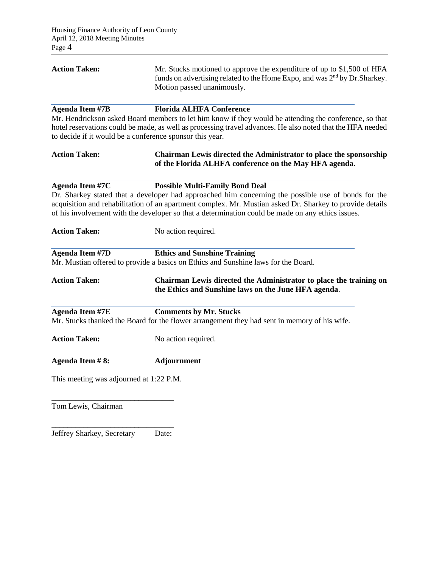| <b>Action Taken:</b>                                                               | Mr. Stucks motioned to approve the expenditure of up to $$1,500$ of HFA<br>funds on advertising related to the Home Expo, and was 2 <sup>nd</sup> by Dr. Sharkey.<br>Motion passed unanimously.                                                                                                                                                                |  |  |  |  |
|------------------------------------------------------------------------------------|----------------------------------------------------------------------------------------------------------------------------------------------------------------------------------------------------------------------------------------------------------------------------------------------------------------------------------------------------------------|--|--|--|--|
| <b>Agenda Item #7B</b><br>to decide if it would be a conference sponsor this year. | <b>Florida ALHFA Conference</b><br>Mr. Hendrickson asked Board members to let him know if they would be attending the conference, so that<br>hotel reservations could be made, as well as processing travel advances. He also noted that the HFA needed                                                                                                        |  |  |  |  |
| <b>Action Taken:</b>                                                               | Chairman Lewis directed the Administrator to place the sponsorship<br>of the Florida ALHFA conference on the May HFA agenda.                                                                                                                                                                                                                                   |  |  |  |  |
| Agenda Item #7C                                                                    | <b>Possible Multi-Family Bond Deal</b><br>Dr. Sharkey stated that a developer had approached him concerning the possible use of bonds for the<br>acquisition and rehabilitation of an apartment complex. Mr. Mustian asked Dr. Sharkey to provide details<br>of his involvement with the developer so that a determination could be made on any ethics issues. |  |  |  |  |
| <b>Action Taken:</b>                                                               | No action required.                                                                                                                                                                                                                                                                                                                                            |  |  |  |  |
| <b>Agenda Item #7D</b>                                                             | <b>Ethics and Sunshine Training</b><br>Mr. Mustian offered to provide a basics on Ethics and Sunshine laws for the Board.                                                                                                                                                                                                                                      |  |  |  |  |
| <b>Action Taken:</b>                                                               | Chairman Lewis directed the Administrator to place the training on<br>the Ethics and Sunshine laws on the June HFA agenda.                                                                                                                                                                                                                                     |  |  |  |  |
| <b>Agenda Item #7E</b>                                                             | <b>Comments by Mr. Stucks</b><br>Mr. Stucks thanked the Board for the flower arrangement they had sent in memory of his wife.                                                                                                                                                                                                                                  |  |  |  |  |
| <b>Action Taken:</b>                                                               | No action required.                                                                                                                                                                                                                                                                                                                                            |  |  |  |  |
| Agenda Item #8:                                                                    | Adjournment                                                                                                                                                                                                                                                                                                                                                    |  |  |  |  |
| This meeting was adjourned at 1:22 P.M.                                            |                                                                                                                                                                                                                                                                                                                                                                |  |  |  |  |
| Tom Lewis, Chairman                                                                |                                                                                                                                                                                                                                                                                                                                                                |  |  |  |  |

\_\_\_\_\_\_\_\_\_\_\_\_\_\_\_\_\_\_\_\_\_\_\_\_\_\_\_\_\_\_\_ Jeffrey Sharkey, Secretary Date: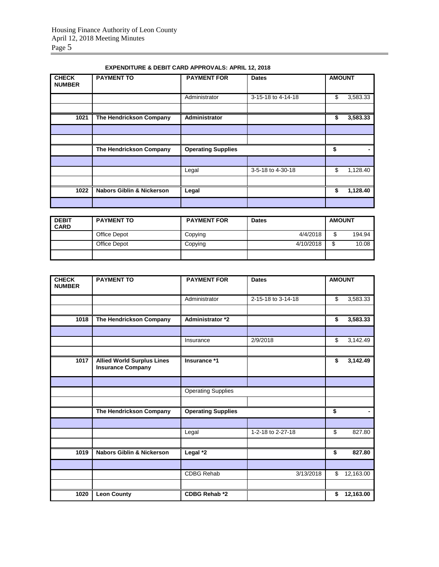| <b>CHECK</b><br><b>NUMBER</b> | <b>PAYMENT TO</b>                    | <b>PAYMENT FOR</b>        | <b>Dates</b>       | <b>AMOUNT</b> |          |
|-------------------------------|--------------------------------------|---------------------------|--------------------|---------------|----------|
|                               |                                      | Administrator             | 3-15-18 to 4-14-18 | \$            | 3,583.33 |
| 1021                          | <b>The Hendrickson Company</b>       | Administrator             |                    | \$            | 3,583.33 |
|                               |                                      |                           |                    |               |          |
|                               |                                      |                           |                    |               |          |
|                               | The Hendrickson Company              | <b>Operating Supplies</b> |                    | \$            |          |
|                               |                                      |                           |                    |               |          |
|                               |                                      | Legal                     | 3-5-18 to 4-30-18  | \$            | 1,128.40 |
|                               |                                      |                           |                    |               |          |
| 1022                          | <b>Nabors Giblin &amp; Nickerson</b> | Legal                     |                    | \$            | 1,128.40 |
|                               |                                      |                           |                    |               |          |

## **EXPENDITURE & DEBIT CARD APPROVALS: APRIL 12, 2018**

| <b>DEBIT</b><br><b>CARD</b> | <b>PAYMENT TO</b> | <b>PAYMENT FOR</b> | <b>Dates</b> | <b>AMOUNT</b> |        |
|-----------------------------|-------------------|--------------------|--------------|---------------|--------|
|                             | Office Depot      | Copying            | 4/4/2018     | \$            | 194.94 |
|                             | Office Depot      | Copying            | 4/10/2018    | ╓<br>Æ.       | 10.08  |
|                             |                   |                    |              |               |        |

| <b>CHECK</b><br><b>NUMBER</b> | <b>PAYMENT TO</b>                                             | <b>PAYMENT FOR</b><br><b>Dates</b> |                    | <b>AMOUNT</b> |           |
|-------------------------------|---------------------------------------------------------------|------------------------------------|--------------------|---------------|-----------|
|                               |                                                               | Administrator                      | 2-15-18 to 3-14-18 | \$            | 3,583.33  |
|                               |                                                               |                                    |                    |               |           |
| 1018                          | The Hendrickson Company                                       | Administrator *2                   |                    | \$            | 3,583.33  |
|                               |                                                               |                                    |                    |               |           |
|                               |                                                               | Insurance                          | 2/9/2018           | \$            | 3,142.49  |
|                               |                                                               |                                    |                    |               |           |
| 1017                          | <b>Allied World Surplus Lines</b><br><b>Insurance Company</b> | Insurance *1                       |                    | \$            | 3,142.49  |
|                               |                                                               |                                    |                    |               |           |
|                               |                                                               | <b>Operating Supplies</b>          |                    |               |           |
|                               |                                                               |                                    |                    |               |           |
|                               | The Hendrickson Company                                       | <b>Operating Supplies</b>          |                    | \$            |           |
|                               |                                                               |                                    |                    |               |           |
|                               |                                                               | Legal                              | 1-2-18 to 2-27-18  | \$            | 827.80    |
|                               |                                                               |                                    |                    |               |           |
| 1019                          | <b>Nabors Giblin &amp; Nickerson</b>                          | Legal *2                           |                    | \$            | 827.80    |
|                               |                                                               |                                    |                    |               |           |
|                               |                                                               | <b>CDBG Rehab</b>                  | 3/13/2018          | \$            | 12,163.00 |
|                               |                                                               |                                    |                    |               |           |
| 1020                          | <b>Leon County</b>                                            | <b>CDBG Rehab *2</b>               |                    | \$            | 12,163.00 |